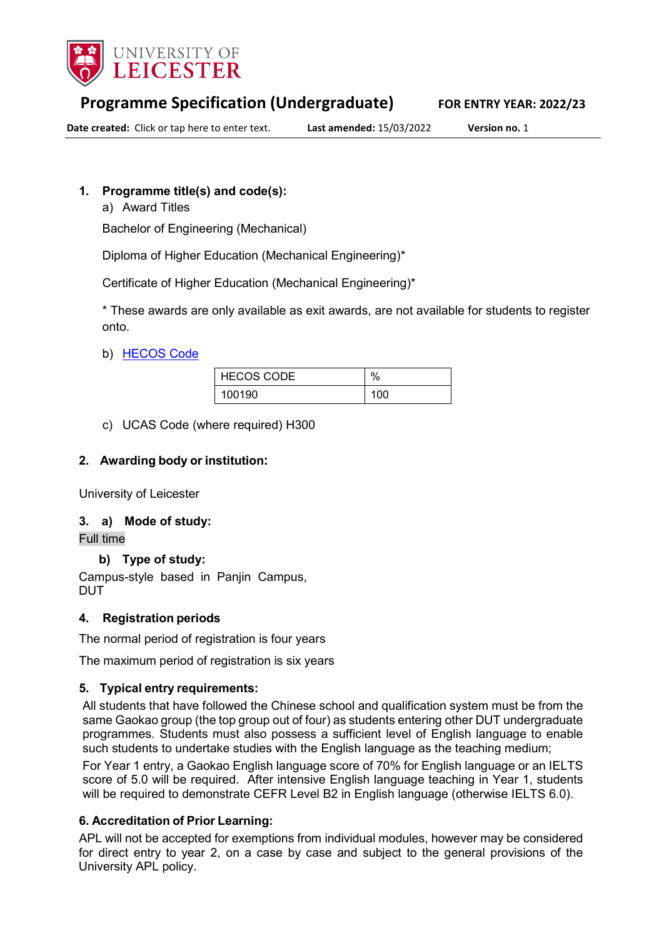

# **Programme Specification (Undergraduate) FOR ENTRY YEAR: 2022/23**

**Date created:** Click or tap here to enter text. **Last amended:** 15/03/2022 **Version no.** 1

#### **1. Programme title(s) and code(s):**

a) Award Titles

Bachelor of Engineering (Mechanical)

Diploma of Higher Education (Mechanical Engineering)\*

Certificate of Higher Education (Mechanical Engineering)\*

\* These awards are only available as exit awards, are not available for students to register onto.

#### b) [HECOS Code](https://www.hesa.ac.uk/innovation/hecos)

| <b>HECOS CODE</b> | $\%$ |
|-------------------|------|
| 100190            | 100  |

c) UCAS Code (where required) H300

#### **2. Awarding body or institution:**

University of Leicester

#### **3. a) Mode of study:**

Full time

#### **b) Type of study:**

Campus-style based in Panjin Campus, DUT

#### **4. Registration periods**

The normal period of registration is four years

The maximum period of registration is six years

#### **5. Typical entry requirements:**

All students that have followed the Chinese school and qualification system must be from the same Gaokao group (the top group out of four) as students entering other DUT undergraduate programmes. Students must also possess a sufficient level of English language to enable such students to undertake studies with the English language as the teaching medium;

For Year 1 entry, a Gaokao English language score of 70% for English language or an IELTS score of 5.0 will be required. After intensive English language teaching in Year 1, students will be required to demonstrate CEFR Level B2 in English language (otherwise IELTS 6.0).

#### **6. Accreditation of Prior Learning:**

APL will not be accepted for exemptions from individual modules, however may be considered for direct entry to year 2, on a case by case and subject to the general provisions of the University APL policy.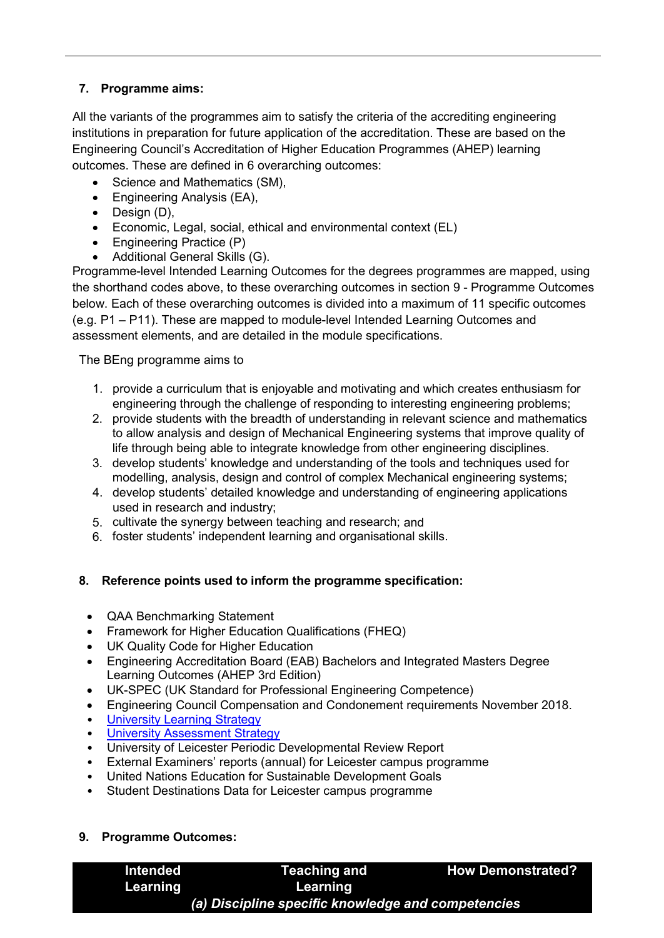## **7. Programme aims:**

All the variants of the programmes aim to satisfy the criteria of the accrediting engineering institutions in preparation for future application of the accreditation. These are based on the Engineering Council's Accreditation of Higher Education Programmes (AHEP) learning outcomes. These are defined in 6 overarching outcomes:

- Science and Mathematics (SM),
- Engineering Analysis (EA),
- Design (D),
- Economic, Legal, social, ethical and environmental context (EL)
- Engineering Practice (P)
- Additional General Skills (G).

Programme-level Intended Learning Outcomes for the degrees programmes are mapped, using the shorthand codes above, to these overarching outcomes in section 9 - Programme Outcomes below. Each of these overarching outcomes is divided into a maximum of 11 specific outcomes (e.g. P1 – P11). These are mapped to module-level Intended Learning Outcomes and assessment elements, and are detailed in the module specifications.

The BEng programme aims to

- 1. provide a curriculum that is enjoyable and motivating and which creates enthusiasm for engineering through the challenge of responding to interesting engineering problems;
- 2. provide students with the breadth of understanding in relevant science and mathematics to allow analysis and design of Mechanical Engineering systems that improve quality of life through being able to integrate knowledge from other engineering disciplines.
- 3. develop students' knowledge and understanding of the tools and techniques used for modelling, analysis, design and control of complex Mechanical engineering systems;
- 4. develop students' detailed knowledge and understanding of engineering applications used in research and industry;
- 5. cultivate the synergy between teaching and research; and
- 6. foster students' independent learning and organisational skills.

### **8. Reference points used to inform the programme specification:**

- QAA Benchmarking Statement
- Framework for Higher Education Qualifications (FHEQ)
- UK Quality Code for Higher Education
- Engineering Accreditation Board (EAB) Bachelors and Integrated Masters Degree Learning Outcomes (AHEP 3rd Edition)
- UK-SPEC (UK Standard for Professional Engineering Competence)
- Engineering Council Compensation and Condonement requirements November 2018.
- **University Learning [Strategy](https://www2.le.ac.uk/offices/sas2/quality/learnteach)**
- **[University Assessment Strategy](https://www2.le.ac.uk/offices/sas2/quality/learnteach)**
- University of Leicester Periodic Developmental Review Report
- External Examiners' reports (annual) for Leicester campus programme
- United Nations Education for Sustainable Development Goals
- Student Destinations Data for Leicester campus programme

#### **9. Programme Outcomes:**

| Intended | Teaching and                                       | <b>How Demonstrated?</b> |
|----------|----------------------------------------------------|--------------------------|
| Learning | Learning                                           |                          |
|          | (a) Discipline specific knowledge and competencies |                          |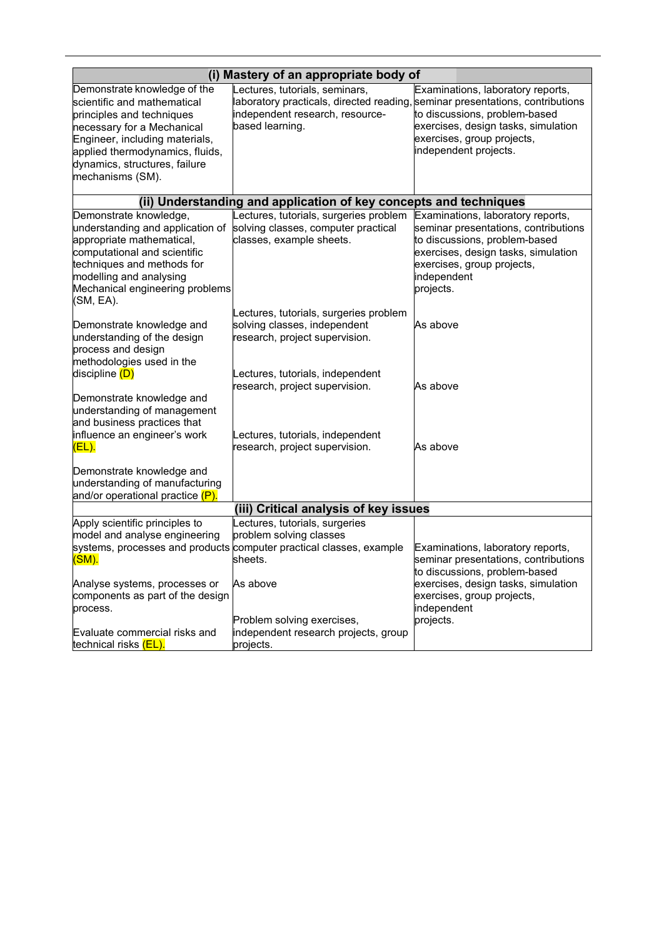| (i) Mastery of an appropriate body of                                                                                                                                                                                                            |                                                                                                                                                                       |                                                                                                                                                                                                             |  |
|--------------------------------------------------------------------------------------------------------------------------------------------------------------------------------------------------------------------------------------------------|-----------------------------------------------------------------------------------------------------------------------------------------------------------------------|-------------------------------------------------------------------------------------------------------------------------------------------------------------------------------------------------------------|--|
| Demonstrate knowledge of the<br>scientific and mathematical<br>principles and techniques<br>necessary for a Mechanical<br>Engineer, including materials,<br>applied thermodynamics, fluids,<br>dynamics, structures, failure<br>mechanisms (SM). | Lectures, tutorials, seminars,<br>laboratory practicals, directed reading, seminar presentations, contributions<br>independent research, resource-<br>based learning. | Examinations, laboratory reports,<br>to discussions, problem-based<br>exercises, design tasks, simulation<br>exercises, group projects,<br>independent projects.                                            |  |
|                                                                                                                                                                                                                                                  | (ii) Understanding and application of key concepts and techniques                                                                                                     |                                                                                                                                                                                                             |  |
| Demonstrate knowledge,<br>understanding and application of<br>appropriate mathematical,<br>computational and scientific<br>techniques and methods for<br>modelling and analysing<br>Mechanical engineering problems<br>(SM, EA).                 | Lectures, tutorials, surgeries problem<br>solving classes, computer practical<br>classes, example sheets.                                                             | Examinations, laboratory reports,<br>seminar presentations, contributions<br>to discussions, problem-based<br>exercises, design tasks, simulation<br>exercises, group projects,<br>independent<br>projects. |  |
| Demonstrate knowledge and<br>understanding of the design<br>process and design<br>methodologies used in the                                                                                                                                      | Lectures, tutorials, surgeries problem<br>solving classes, independent<br>research, project supervision.                                                              | As above                                                                                                                                                                                                    |  |
| discipline (D)<br>Demonstrate knowledge and<br>understanding of management                                                                                                                                                                       | Lectures, tutorials, independent<br>research, project supervision.                                                                                                    | As above                                                                                                                                                                                                    |  |
| and business practices that<br>influence an engineer's work<br>$(EL)$ .                                                                                                                                                                          | Lectures, tutorials, independent<br>research, project supervision.                                                                                                    | As above                                                                                                                                                                                                    |  |
| Demonstrate knowledge and<br>understanding of manufacturing<br>and/or operational practice (P).                                                                                                                                                  |                                                                                                                                                                       |                                                                                                                                                                                                             |  |
|                                                                                                                                                                                                                                                  | (iii) Critical analysis of key issues                                                                                                                                 |                                                                                                                                                                                                             |  |
| Apply scientific principles to<br>model and analyse engineering<br><u>(SM).</u><br>Analyse systems, processes or                                                                                                                                 | Lectures, tutorials, surgeries<br>problem solving classes<br>systems, processes and products computer practical classes, example<br>sheets.<br>As above               | Examinations, laboratory reports,<br>seminar presentations, contributions<br>to discussions, problem-based<br>exercises, design tasks, simulation                                                           |  |
| components as part of the design<br>process.<br>Evaluate commercial risks and<br>technical risks <mark>(EL).</mark>                                                                                                                              | Problem solving exercises,<br>independent research projects, group<br>projects.                                                                                       | exercises, group projects,<br>independent<br>projects.                                                                                                                                                      |  |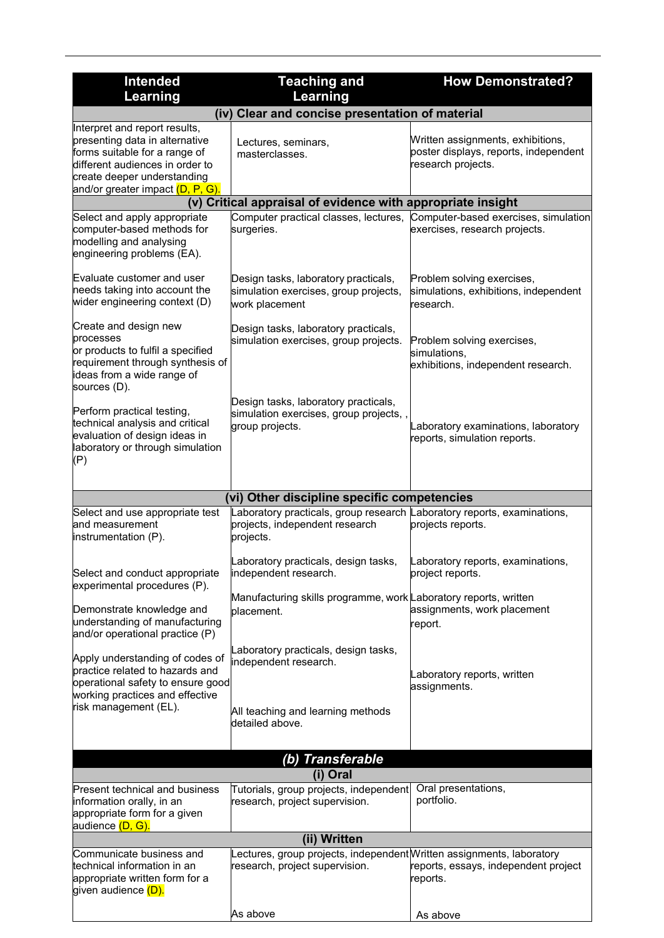| <b>Intended</b>                                                                                                                                                                                                     | <b>Teaching and</b>                                                                                                    | <b>How Demonstrated?</b>                                                                                    |  |
|---------------------------------------------------------------------------------------------------------------------------------------------------------------------------------------------------------------------|------------------------------------------------------------------------------------------------------------------------|-------------------------------------------------------------------------------------------------------------|--|
| Learning                                                                                                                                                                                                            | Learning                                                                                                               |                                                                                                             |  |
| (iv) Clear and concise presentation of material                                                                                                                                                                     |                                                                                                                        |                                                                                                             |  |
| Interpret and report results,<br>presenting data in alternative<br>forms suitable for a range of<br>different audiences in order to<br>create deeper understanding<br>and/or greater impact <mark>(D, P, G).</mark> | Lectures, seminars,<br>masterclasses.                                                                                  | Written assignments, exhibitions,<br>poster displays, reports, independent<br>research projects.            |  |
|                                                                                                                                                                                                                     | (v) Critical appraisal of evidence with appropriate insight                                                            |                                                                                                             |  |
| Select and apply appropriate<br>computer-based methods for<br>modelling and analysing<br>engineering problems (EA).                                                                                                 | surgeries.                                                                                                             | Computer practical classes, lectures, Computer-based exercises, simulation<br>exercises, research projects. |  |
| Evaluate customer and user<br>needs taking into account the<br>wider engineering context (D)                                                                                                                        | Design tasks, laboratory practicals,<br>simulation exercises, group projects,<br>work placement                        | Problem solving exercises,<br>simulations, exhibitions, independent<br>research.                            |  |
| Create and design new<br>processes<br>or products to fulfil a specified<br>requirement through synthesis of<br>ideas from a wide range of<br>sources (D).                                                           | Design tasks, laboratory practicals,<br>simulation exercises, group projects.                                          | Problem solving exercises,<br>simulations,<br>exhibitions, independent research.                            |  |
| Perform practical testing,<br>technical analysis and critical<br>evaluation of design ideas in<br>laboratory or through simulation<br>(P)                                                                           | Design tasks, laboratory practicals,<br>simulation exercises, group projects,,<br>group projects.                      | Laboratory examinations, laboratory<br>reports, simulation reports.                                         |  |
|                                                                                                                                                                                                                     | (vi) Other discipline specific competencies                                                                            |                                                                                                             |  |
| Select and use appropriate test<br>and measurement<br>instrumentation (P).                                                                                                                                          | Laboratory practicals, group research Laboratory reports, examinations,<br>projects, independent research<br>projects. | projects reports.                                                                                           |  |
| Select and conduct appropriate<br>experimental procedures (P).                                                                                                                                                      | Laboratory practicals, design tasks,<br>independent research.                                                          | Laboratory reports, examinations,<br>project reports.                                                       |  |
| Demonstrate knowledge and<br>understanding of manufacturing<br>and/or operational practice (P)                                                                                                                      | Manufacturing skills programme, work Laboratory reports, written<br>placement.                                         | assignments, work placement<br>report.                                                                      |  |
| Apply understanding of codes of<br>practice related to hazards and<br>operational safety to ensure good<br>working practices and effective<br>risk management (EL).                                                 | Laboratory practicals, design tasks,<br>independent research.<br>All teaching and learning methods<br>detailed above.  | Laboratory reports, written<br>assignments.                                                                 |  |
|                                                                                                                                                                                                                     |                                                                                                                        |                                                                                                             |  |
|                                                                                                                                                                                                                     | (b) Transferable                                                                                                       |                                                                                                             |  |
| (i) Oral                                                                                                                                                                                                            |                                                                                                                        |                                                                                                             |  |
| <b>Present technical and business</b><br>information orally, in an<br>appropriate form for a given<br>audience <mark>(D, G).</mark>                                                                                 | Tutorials, group projects, independent<br>research, project supervision.                                               | Oral presentations,<br>portfolio.                                                                           |  |
|                                                                                                                                                                                                                     | (ii) Written                                                                                                           |                                                                                                             |  |
| Communicate business and<br>technical information in an<br>appropriate written form for a<br>given audience (D).                                                                                                    | Lectures, group projects, independent Written assignments, laboratory<br>research, project supervision.                | reports, essays, independent project<br>reports.                                                            |  |
|                                                                                                                                                                                                                     | As above                                                                                                               | As above                                                                                                    |  |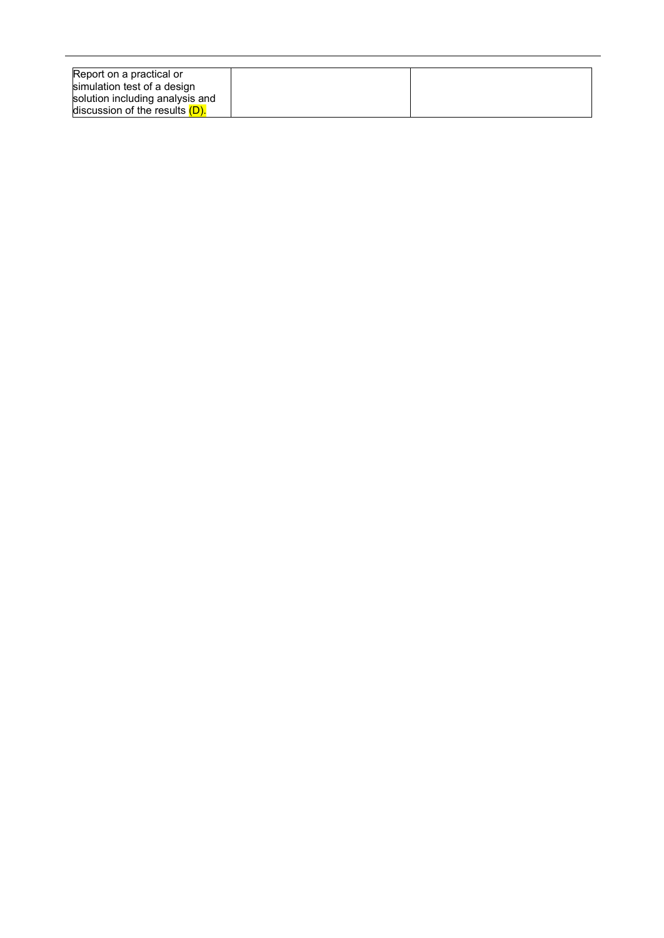| Report on a practical or          |  |
|-----------------------------------|--|
|                                   |  |
| simulation test of a design       |  |
|                                   |  |
| solution including analysis and   |  |
|                                   |  |
| discussion of the results $(D)$ . |  |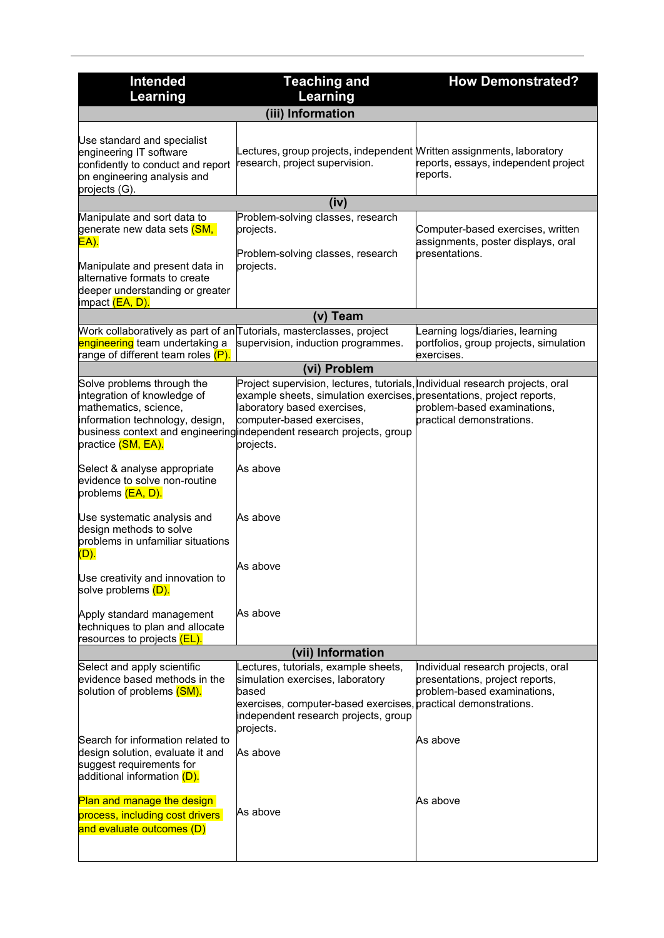| <b>Intended</b>                                                                                                                                                                                                              | <b>Teaching and</b>                                                                                                                                                                                                                                                                                     | <b>How Demonstrated?</b>                                                                                                          |
|------------------------------------------------------------------------------------------------------------------------------------------------------------------------------------------------------------------------------|---------------------------------------------------------------------------------------------------------------------------------------------------------------------------------------------------------------------------------------------------------------------------------------------------------|-----------------------------------------------------------------------------------------------------------------------------------|
| Learning                                                                                                                                                                                                                     | Learning                                                                                                                                                                                                                                                                                                |                                                                                                                                   |
|                                                                                                                                                                                                                              | (iii) Information                                                                                                                                                                                                                                                                                       |                                                                                                                                   |
| Use standard and specialist<br>engineering IT software<br>confidently to conduct and report<br>on engineering analysis and<br>projects (G).                                                                                  | Lectures, group projects, independent Mritten assignments, laboratory<br>research, project supervision.                                                                                                                                                                                                 | reports, essays, independent project<br>reports.                                                                                  |
|                                                                                                                                                                                                                              | (iv)                                                                                                                                                                                                                                                                                                    |                                                                                                                                   |
| Manipulate and sort data to<br>generate new data sets <mark>(SM,</mark><br><b>EA).</b><br>Manipulate and present data in<br>alternative formats to create<br>deeper understanding or greater<br>impact <mark>(EA, D).</mark> | Problem-solving classes, research<br>projects.<br>Problem-solving classes, research<br>projects.                                                                                                                                                                                                        | Computer-based exercises, written<br>assignments, poster displays, oral<br>presentations.                                         |
|                                                                                                                                                                                                                              | (v) Team                                                                                                                                                                                                                                                                                                |                                                                                                                                   |
| Work collaboratively as part of an∏utorials, masterclasses, project<br><mark>engineering</mark> team undertaking a<br>range of different team roles <mark>(P)</mark>                                                         | supervision, induction programmes.                                                                                                                                                                                                                                                                      | Learning logs/diaries, learning<br>portfolios, group projects, simulation<br>exercises.                                           |
|                                                                                                                                                                                                                              | (vi) Problem                                                                                                                                                                                                                                                                                            |                                                                                                                                   |
| Solve problems through the<br>integration of knowledge of<br>mathematics, science,<br>information technology, design,<br>practice <mark>(SM, EA).</mark>                                                                     | Project supervision, lectures, tutorials, Individual research projects, oral<br>example sheets, simulation exercises, presentations, project reports,<br>laboratory based exercises,<br>computer-based exercises,<br>business context and engineering independent research projects, group<br>projects. | problem-based examinations,<br>practical demonstrations.                                                                          |
| Select & analyse appropriate<br>evidence to solve non-routine<br>problems <mark>(EA, D).</mark>                                                                                                                              | As above                                                                                                                                                                                                                                                                                                |                                                                                                                                   |
| Use systematic analysis and<br>design methods to solve<br>problems in unfamiliar situations<br>(D).                                                                                                                          | As above                                                                                                                                                                                                                                                                                                |                                                                                                                                   |
| Use creativity and innovation to<br>solve problems (D).                                                                                                                                                                      | As above                                                                                                                                                                                                                                                                                                |                                                                                                                                   |
| Apply standard management<br>techniques to plan and allocate<br>resources to projects <mark>(EL).</mark>                                                                                                                     | As above                                                                                                                                                                                                                                                                                                |                                                                                                                                   |
|                                                                                                                                                                                                                              | (vii) Information                                                                                                                                                                                                                                                                                       |                                                                                                                                   |
| Select and apply scientific<br>evidence based methods in the<br>solution of problems (SM).                                                                                                                                   | ectures, tutorials, example sheets,<br>simulation exercises, laboratory<br>based<br>exercises, computer-based exercises,<br>independent research projects, group<br>projects.                                                                                                                           | Individual research projects, oral<br>presentations, project reports,<br>problem-based examinations,<br>practical demonstrations. |
| Search for information related to<br>design solution, evaluate it and<br>suggest requirements for<br>additional information <mark>(D).</mark>                                                                                | As above                                                                                                                                                                                                                                                                                                | As above                                                                                                                          |
| Plan and manage the design<br>process, including cost drivers<br>and evaluate outcomes (D)                                                                                                                                   | As above                                                                                                                                                                                                                                                                                                | As above                                                                                                                          |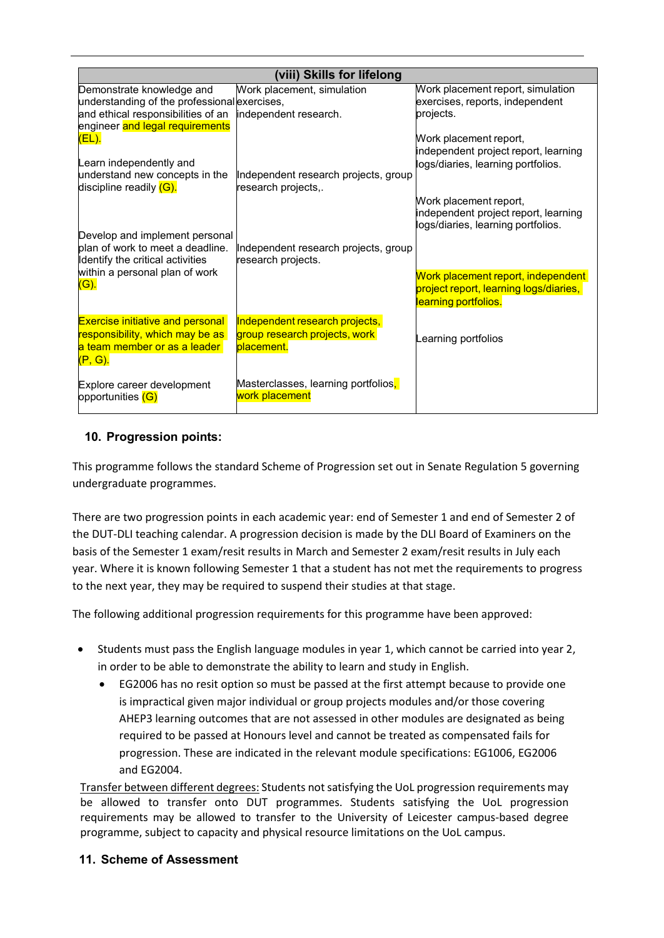| (viii) Skills for lifelong                   |                                                   |                                        |  |
|----------------------------------------------|---------------------------------------------------|----------------------------------------|--|
| Demonstrate knowledge and                    | Work placement, simulation                        | Work placement report, simulation      |  |
| understanding of the professional exercises, |                                                   | exercises, reports, independent        |  |
| and ethical responsibilities of an           | independent research.                             | projects.                              |  |
| engineer and legal requirements              |                                                   |                                        |  |
| (EL).                                        |                                                   | Work placement report,                 |  |
|                                              |                                                   | independent project report, learning   |  |
| Learn independently and                      |                                                   | logs/diaries, learning portfolios.     |  |
| understand new concepts in the               | Independent research projects, group              |                                        |  |
| discipline readily (G).                      | research projects,.                               |                                        |  |
|                                              |                                                   | Work placement report,                 |  |
|                                              |                                                   | independent project report, learning   |  |
|                                              |                                                   | logs/diaries, learning portfolios.     |  |
| Develop and implement personal               |                                                   |                                        |  |
| plan of work to meet a deadline.             | Independent research projects, group              |                                        |  |
| Identify the critical activities             | research projects.                                |                                        |  |
| within a personal plan of work               |                                                   | Work placement report, independent     |  |
| (G).                                         |                                                   | project report, learning logs/diaries, |  |
|                                              |                                                   | learning portfolios.                   |  |
|                                              |                                                   |                                        |  |
| <b>Exercise initiative and personal</b>      | Independent research projects,                    |                                        |  |
| responsibility, which may be as              | group research projects, work                     | Learning portfolios                    |  |
| a team member or as a leader                 | placement.                                        |                                        |  |
| (P, G).                                      |                                                   |                                        |  |
|                                              |                                                   |                                        |  |
| Explore career development                   | Masterclasses, learning portfolios <mark>,</mark> |                                        |  |
| opportunities (G)                            | work placement                                    |                                        |  |
|                                              |                                                   |                                        |  |

### **10. Progression points:**

This programme follows the standard Scheme of Progression set out in Senate Regulation 5 governing undergraduate programmes.

There are two progression points in each academic year: end of Semester 1 and end of Semester 2 of the DUT-DLI teaching calendar. A progression decision is made by the DLI Board of Examiners on the basis of the Semester 1 exam/resit results in March and Semester 2 exam/resit results in July each year. Where it is known following Semester 1 that a student has not met the requirements to progress to the next year, they may be required to suspend their studies at that stage.

The following additional progression requirements for this programme have been approved:

- Students must pass the English language modules in year 1, which cannot be carried into year 2, in order to be able to demonstrate the ability to learn and study in English.
	- EG2006 has no resit option so must be passed at the first attempt because to provide one is impractical given major individual or group projects modules and/or those covering AHEP3 learning outcomes that are not assessed in other modules are designated as being required to be passed at Honours level and cannot be treated as compensated fails for progression. These are indicated in the relevant module specifications: EG1006, EG2006 and EG2004.

Transfer between different degrees: Students not satisfying the UoL progression requirements may be allowed to transfer onto DUT programmes. Students satisfying the UoL progression requirements may be allowed to transfer to the University of Leicester campus-based degree programme, subject to capacity and physical resource limitations on the UoL campus.

#### **11. Scheme of Assessment**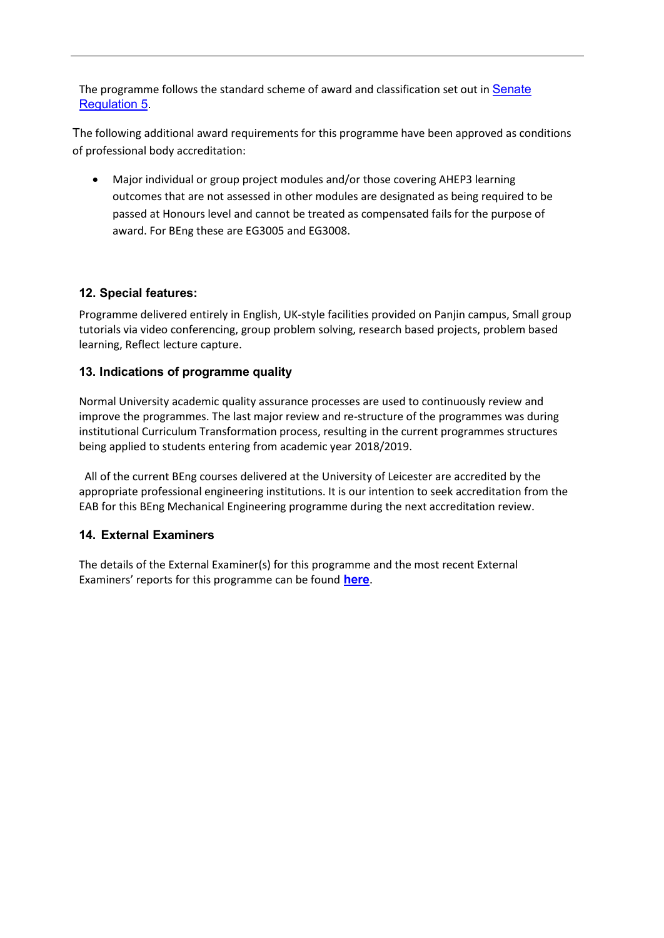The programme follows the standard scheme of award and classification set out in [Senate](http://www2.le.ac.uk/offices/sas2/regulations/general-regulations-for-taught-programmes) [Regulation 5.](http://www2.le.ac.uk/offices/sas2/regulations/general-regulations-for-taught-programmes)

The following additional award requirements for this programme have been approved as conditions of professional body accreditation:

• Major individual or group project modules and/or those covering AHEP3 learning outcomes that are not assessed in other modules are designated as being required to be passed at Honours level and cannot be treated as compensated fails for the purpose of award. For BEng these are EG3005 and EG3008.

#### **12. Special features:**

Programme delivered entirely in English, UK-style facilities provided on Panjin campus, Small group tutorials via video conferencing, group problem solving, research based projects, problem based learning, Reflect lecture capture.

#### **13. Indications of programme quality**

Normal University academic quality assurance processes are used to continuously review and improve the programmes. The last major review and re-structure of the programmes was during institutional Curriculum Transformation process, resulting in the current programmes structures being applied to students entering from academic year 2018/2019.

 All of the current BEng courses delivered at the University of Leicester are accredited by the appropriate professional engineering institutions. It is our intention to seek accreditation from the EAB for this BEng Mechanical Engineering programme during the next accreditation review.

#### **14. External Examiners**

The details of the External Examiner(s) for this programme and the most recent External Examiners' reports for this programme can be found **[here](https://exampapers.le.ac.uk/xmlui/handle/123456789/209)**.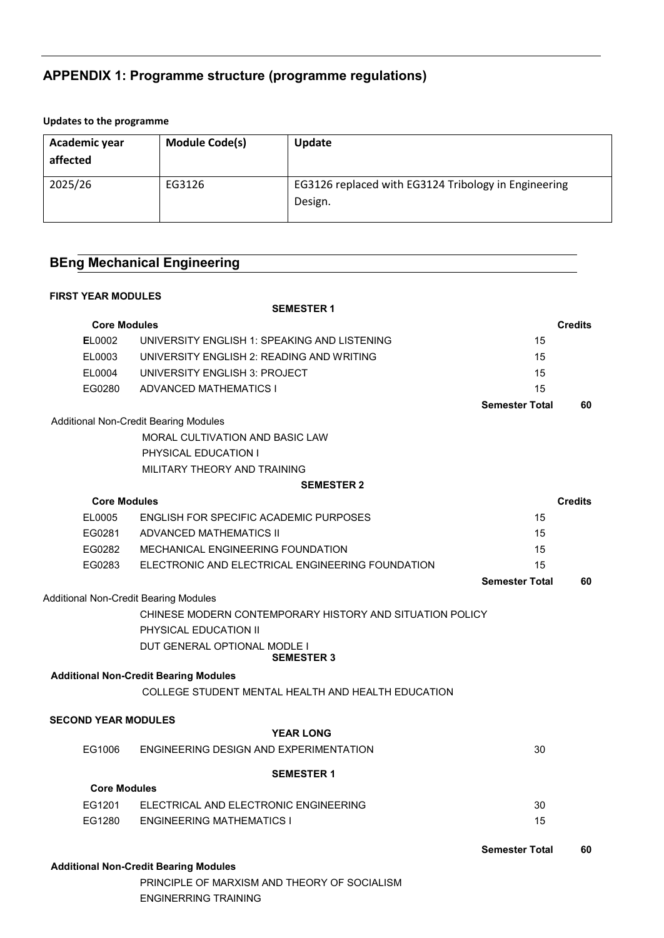# **APPENDIX 1: Programme structure (programme regulations)**

#### **Updates to the programme**

| Academic year<br>affected | <b>Module Code(s)</b> | Update                                                          |
|---------------------------|-----------------------|-----------------------------------------------------------------|
| 2025/26                   | EG3126                | EG3126 replaced with EG3124 Tribology in Engineering<br>Design. |

## **BEng Mechanical Engineering**

#### **FIRST YEAR MODULES**

|                                              | <b>SEMESTER 1</b>                                        |                       |                |
|----------------------------------------------|----------------------------------------------------------|-----------------------|----------------|
| <b>Core Modules</b>                          |                                                          |                       | <b>Credits</b> |
| EL0002                                       | UNIVERSITY ENGLISH 1: SPEAKING AND LISTENING             | 15                    |                |
| EL0003                                       | UNIVERSITY ENGLISH 2: READING AND WRITING                | 15                    |                |
| EL0004                                       | UNIVERSITY ENGLISH 3: PROJECT                            | 15                    |                |
| EG0280                                       | <b>ADVANCED MATHEMATICS I</b>                            | 15                    |                |
|                                              |                                                          | <b>Semester Total</b> | 60             |
|                                              | Additional Non-Credit Bearing Modules                    |                       |                |
|                                              | MORAL CULTIVATION AND BASIC LAW                          |                       |                |
|                                              | PHYSICAL EDUCATION I                                     |                       |                |
|                                              | MILITARY THEORY AND TRAINING                             |                       |                |
|                                              | <b>SEMESTER 2</b>                                        |                       |                |
| <b>Core Modules</b>                          |                                                          |                       | <b>Credits</b> |
| EL0005                                       | ENGLISH FOR SPECIFIC ACADEMIC PURPOSES                   | 15                    |                |
| EG0281                                       | ADVANCED MATHEMATICS II                                  | 15                    |                |
| EG0282                                       | <b>MECHANICAL ENGINEERING FOUNDATION</b>                 | 15                    |                |
| EG0283                                       | ELECTRONIC AND ELECTRICAL ENGINEERING FOUNDATION         | 15                    |                |
|                                              |                                                          | <b>Semester Total</b> | 60             |
| <b>Additional Non-Credit Bearing Modules</b> |                                                          |                       |                |
|                                              | CHINESE MODERN CONTEMPORARY HISTORY AND SITUATION POLICY |                       |                |
|                                              | PHYSICAL EDUCATION II                                    |                       |                |
|                                              | DUT GENERAL OPTIONAL MODLE I<br><b>SEMESTER 3</b>        |                       |                |
|                                              | <b>Additional Non-Credit Bearing Modules</b>             |                       |                |
|                                              | COLLEGE STUDENT MENTAL HEALTH AND HEALTH EDUCATION       |                       |                |
| <b>SECOND YEAR MODULES</b>                   |                                                          |                       |                |
|                                              | <b>YEAR LONG</b>                                         |                       |                |
| EG1006                                       | ENGINEERING DESIGN AND EXPERIMENTATION                   | 30                    |                |
|                                              | <b>SEMESTER 1</b>                                        |                       |                |
| <b>Core Modules</b>                          |                                                          |                       |                |
| EG1201                                       | ELECTRICAL AND ELECTRONIC ENGINEERING                    | 30                    |                |
| EG1280                                       | <b>ENGINEERING MATHEMATICS I</b>                         | 15                    |                |
|                                              |                                                          | <b>Semester Total</b> | 60             |
|                                              | <b>Additional Non-Credit Bearing Modules</b>             |                       |                |

PRINCIPLE OF MARXISM AND THEORY OF SOCIALISM ENGINERRING TRAINING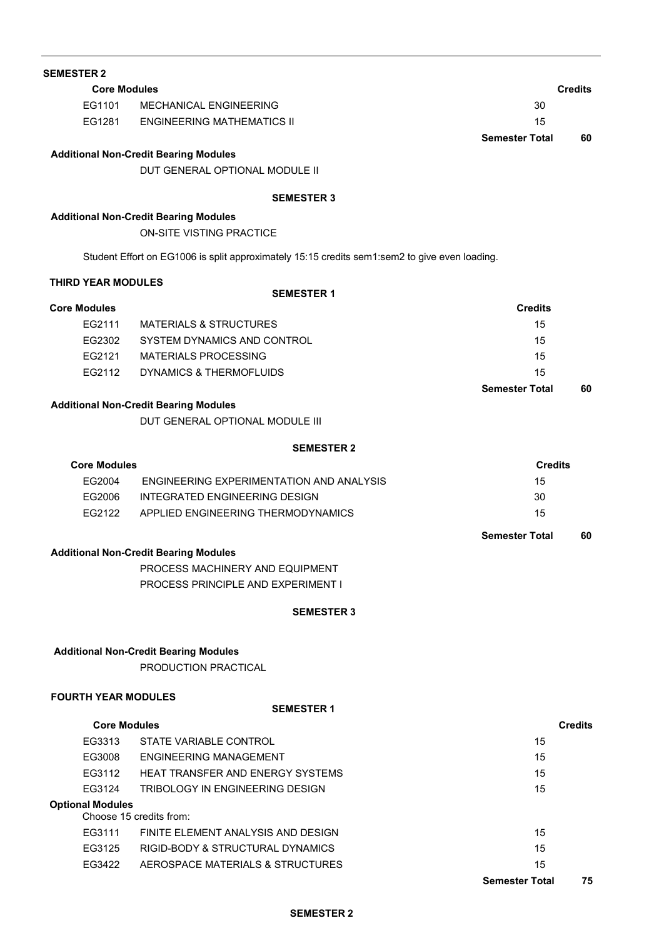| <b>SEMESTER 2</b>         |                                                                                               |                       |                |
|---------------------------|-----------------------------------------------------------------------------------------------|-----------------------|----------------|
|                           | <b>Core Modules</b>                                                                           |                       | <b>Credits</b> |
| EG1101                    | MECHANICAL ENGINEERING                                                                        | 30                    |                |
|                           | EG1281 ENGINEERING MATHEMATICS II                                                             | 15                    |                |
|                           |                                                                                               | <b>Semester Total</b> | 60             |
|                           | <b>Additional Non-Credit Bearing Modules</b>                                                  |                       |                |
|                           | DUT GENERAL OPTIONAL MODULE II                                                                |                       |                |
|                           | <b>SEMESTER 3</b>                                                                             |                       |                |
|                           | <b>Additional Non-Credit Bearing Modules</b>                                                  |                       |                |
|                           | ON-SITE VISTING PRACTICE                                                                      |                       |                |
|                           | Student Effort on EG1006 is split approximately 15:15 credits sem1:sem2 to give even loading. |                       |                |
| <b>THIRD YEAR MODULES</b> |                                                                                               |                       |                |
| <b>Core Modules</b>       | <b>SEMESTER 1</b>                                                                             | <b>Credits</b>        |                |
| EG2111                    | <b>MATERIALS &amp; STRUCTURES</b>                                                             | 15                    |                |
|                           | EG2302 SYSTEM DYNAMICS AND CONTROL                                                            | 15                    |                |
|                           | EG2121 MATERIALS PROCESSING                                                                   | 15                    |                |
| EG2112                    | DYNAMICS & THERMOFLUIDS                                                                       | 15                    |                |
|                           |                                                                                               | <b>Semester Total</b> | 60             |
|                           | <b>Additional Non-Credit Bearing Modules</b>                                                  |                       |                |
|                           | DUT GENERAL OPTIONAL MODULE III                                                               |                       |                |
|                           | <b>SEMESTER 2</b>                                                                             |                       |                |
| <b>Core Modules</b>       |                                                                                               | <b>Credits</b>        |                |
| EG2004                    | ENGINEERING EXPERIMENTATION AND ANALYSIS                                                      | 15                    |                |
|                           | EG2006 INTEGRATED ENGINEERING DESIGN                                                          | 30                    |                |
|                           | EG2122 APPLIED ENGINEERING THERMODYNAMICS                                                     | 15                    |                |
|                           |                                                                                               | <b>Semester Total</b> | 60             |
|                           | <b>Additional Non-Credit Bearing Modules</b>                                                  |                       |                |
|                           | PROCESS MACHINERY AND EQUIPMENT                                                               |                       |                |
|                           | PROCESS PRINCIPLE AND EXPERIMENT I                                                            |                       |                |
|                           | <b>SEMESTER 3</b>                                                                             |                       |                |
|                           | <b>Additional Non-Credit Bearing Modules</b>                                                  |                       |                |
|                           | PRODUCTION PRACTICAL                                                                          |                       |                |
|                           | <b>FOURTH YEAR MODULES</b>                                                                    |                       |                |
|                           | <b>SEMESTER 1</b>                                                                             |                       |                |
|                           | <b>Core Modules</b>                                                                           |                       | <b>Credits</b> |
| EG3313                    | STATE VARIABLE CONTROL                                                                        | 15                    |                |
| EG3008                    | ENGINEERING MANAGEMENT                                                                        | 15                    |                |
| EG3112                    | <b>HEAT TRANSFER AND ENERGY SYSTEMS</b>                                                       | 15                    |                |
| EG3124                    | TRIBOLOGY IN ENGINEERING DESIGN                                                               | 15                    |                |
| <b>Optional Modules</b>   | Choose 15 credits from:                                                                       |                       |                |
| EG3111                    | FINITE ELEMENT ANALYSIS AND DESIGN                                                            | 15                    |                |
| EG3125                    | <b>RIGID-BODY &amp; STRUCTURAL DYNAMICS</b>                                                   | 15                    |                |
| EG3422                    | AEROSPACE MATERIALS & STRUCTURES                                                              | 15                    |                |
|                           |                                                                                               | <b>Semester Total</b> | 75             |

#### **SEMESTER 2**